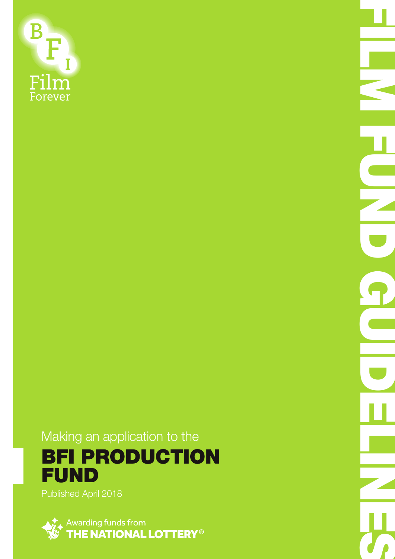

Making an application to the BFI PRODUCTION FUND

FILM FUND COLLETING

Published April 2018

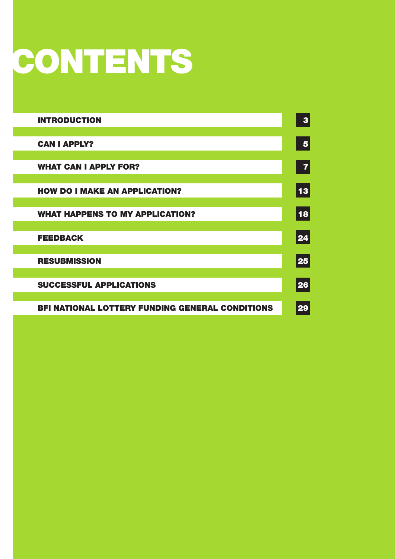# CONTENTS

| <b>INTRODUCTION</b>                                    | 3                       |
|--------------------------------------------------------|-------------------------|
| <b>CAN I APPLY?</b>                                    | $\overline{\mathbf{5}}$ |
| <b>WHAT CAN I APPLY FOR?</b>                           | 7                       |
| <b>HOW DO I MAKE AN APPLICATION?</b>                   | 13                      |
| <b>WHAT HAPPENS TO MY APPLICATION?</b>                 | 18                      |
| <b>FEEDBACK</b>                                        | 24                      |
| <b>RESUBMISSION</b>                                    | 25                      |
| <b>SUCCESSFUL APPLICATIONS</b>                         | 26                      |
| <b>BFI NATIONAL LOTTERY FUNDING GENERAL CONDITIONS</b> | 29                      |
|                                                        |                         |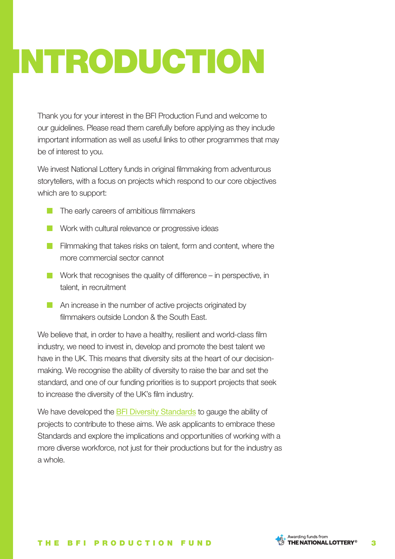# INTRODUCTION

Thank you for your interest in the BFI Production Fund and welcome to our guidelines. Please read them carefully before applying as they include important information as well as useful links to other programmes that may be of interest to you.

We invest National Lottery funds in original filmmaking from adventurous storytellers, with a focus on projects which respond to our core objectives which are to support:

- The early careers of ambitious filmmakers
- Work with cultural relevance or progressive ideas
- **Filmmaking that takes risks on talent, form and content, where the** more commercial sector cannot
- Work that recognises the quality of difference in perspective, in talent, in recruitment
- **An increase in the number of active projects originated by** filmmakers outside London & the South East.

We believe that, in order to have a healthy, resilient and world-class film industry, we need to invest in, develop and promote the best talent we have in the UK. This means that diversity sits at the heart of our decisionmaking. We recognise the ability of diversity to raise the bar and set the standard, and one of our funding priorities is to support projects that seek to increase the diversity of the UK's film industry.

We have developed the BFI Diversity Standards to gauge the ability of projects to contribute to these aims. We ask applicants to embrace these Standards and explore the implications and opportunities of working with a more diverse workforce, not just for their productions but for the industry as a whole.

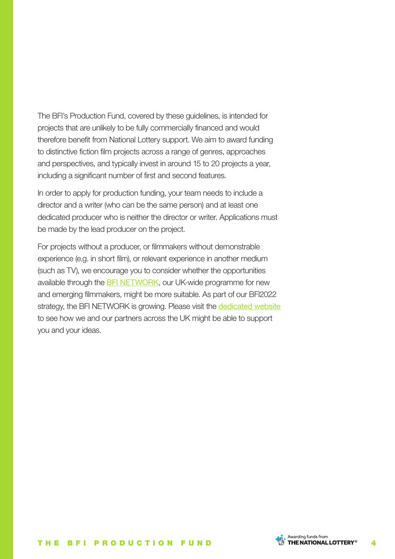The BFI's Production Fund, covered by these guidelines, is intended for projects that are unlikely to be fully commercially financed and would therefore benefit from National Lottery support. We aim to award funding to distinctive fiction film projects across a range of genres, approaches and perspectives, and typically invest in around 15 to 20 projects a year, including a significant number of first and second features.

In order to apply for production funding, your team needs to include a director and a writer (who can be the same person) and at least one dedicated producer who is neither the director or writer. Applications must be made by the lead producer on the project.

For projects without a producer, or filmmakers without demonstrable experience (e.g. in short film), or relevant experience in another medium (such as TV), we encourage you to consider whether the opportunities available through the BFI NETWORK, our UK-wide programme for new and emerging filmmakers, might be more suitable. As part of our BFI2022 strategy, the BFI NETWORK is growing. Please visit the **dedicated website** to see how we and our partners across the UK might be able to support you and your ideas.

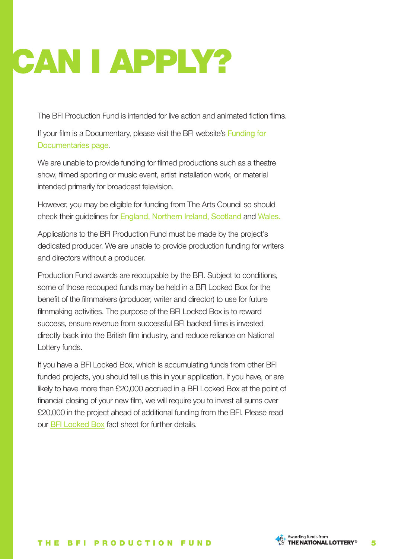# CAN I APPLY?

The BFI Production Fund is intended for live action and animated fiction films.

If your film is a Documentary, please visit the BFI website's **Funding for** Documentaries page.

We are unable to provide funding for filmed productions such as a theatre show, filmed sporting or music event, artist installation work, or material intended primarily for broadcast television.

However, you may be eligible for funding from The Arts Council so should check their guidelines for England, Northern Ireland, Scotland and Wales.

Applications to the BFI Production Fund must be made by the project's dedicated producer. We are unable to provide production funding for writers and directors without a producer.

Production Fund awards are recoupable by the BFI. Subject to conditions, some of those recouped funds may be held in a BFI Locked Box for the benefit of the filmmakers (producer, writer and director) to use for future filmmaking activities. The purpose of the BFI Locked Box is to reward success, ensure revenue from successful BFI backed films is invested directly back into the British film industry, and reduce reliance on National Lottery funds.

If you have a BFI Locked Box, which is accumulating funds from other BFI funded projects, you should tell us this in your application. If you have, or are likely to have more than £20,000 accrued in a BFI Locked Box at the point of financial closing of your new film, we will require you to invest all sums over £20,000 in the project ahead of additional funding from the BFI. Please read our BFI Locked Box fact sheet for further details.

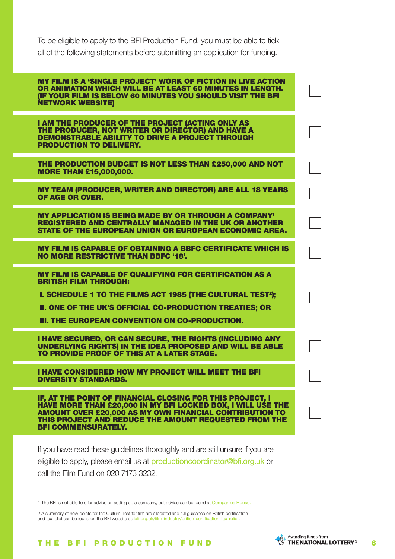To be eligible to apply to the BFI Production Fund, you must be able to tick all of the following statements before submitting an application for funding.

| <b>MY FILM IS A 'SINGLE PROJECT' WORK OF FICTION IN LIVE ACTION</b><br>OR ANIMATION WHICH WILL BE AT LEAST 60 MINUTES IN LENGTH.<br>(IF YOUR FILM IS BELOW 60 MINUTES YOU SHOULD VISIT THE BFI<br><b>NETWORK WEBSITE)</b>                                                             |  |
|---------------------------------------------------------------------------------------------------------------------------------------------------------------------------------------------------------------------------------------------------------------------------------------|--|
| I AM THE PRODUCER OF THE PROJECT (ACTING ONLY AS<br>THE PRODUCER, NOT WRITER OR DIRECTOR) AND HAVE A<br><b>DEMONSTRABLE ABILITY TO DRIVE A PROJECT THROUGH</b><br><b>PRODUCTION TO DELIVERY.</b>                                                                                      |  |
| THE PRODUCTION BUDGET IS NOT LESS THAN £250,000 AND NOT<br><b>MORE THAN £15,000,000.</b>                                                                                                                                                                                              |  |
| <b>MY TEAM (PRODUCER, WRITER AND DIRECTOR) ARE ALL 18 YEARS</b><br>OF AGE OR OVER.                                                                                                                                                                                                    |  |
| <b>MY APPLICATION IS BEING MADE BY OR THROUGH A COMPANY'</b><br><b>REGISTERED AND CENTRALLY MANAGED IN THE UK OR ANOTHER</b><br><b>STATE OF THE EUROPEAN UNION OR EUROPEAN ECONOMIC AREA.</b>                                                                                         |  |
| <b>MY FILM IS CAPABLE OF OBTAINING A BBFC CERTIFICATE WHICH IS</b><br><b>NO MORE RESTRICTIVE THAN BBFC '18'.</b>                                                                                                                                                                      |  |
| <b>MY FILM IS CAPABLE OF QUALIFYING FOR CERTIFICATION AS A</b><br><b>BRITISH FILM THROUGH:</b><br>I. SCHEDULE 1 TO THE FILMS ACT 1985 (THE CULTURAL TEST <sup>2</sup> );<br>II. ONE OF THE UK'S OFFICIAL CO-PRODUCTION TREATIES; OR<br>III. THE EUROPEAN CONVENTION ON CO-PRODUCTION. |  |
| I HAVE SECURED, OR CAN SECURE, THE RIGHTS (INCLUDING ANY<br><b>UNDERLYING RIGHTS) IN THE IDEA PROPOSED AND WILL BE ABLE</b><br>TO PROVIDE PROOF OF THIS AT A LATER STAGE.                                                                                                             |  |
| I HAVE CONSIDERED HOW MY PROJECT WILL MEET THE BFI<br><b>DIVERSITY STANDARDS.</b>                                                                                                                                                                                                     |  |
| IF, AT THE POINT OF FINANCIAL CLOSING FOR THIS PROJECT, I<br>HAVE MORE THAN £20,000 IN MY BFI LOCKED BOX, I WILL USE THE<br><b>AMOUNT OVER £20,000 AS MY OWN FINANCIAL CONTRIBUTION TO</b><br>THIS PROJECT AND REDUCE THE AMOUNT REQUESTED FROM THE<br><b>BFI COMMENSURATELY.</b>     |  |

 $\frac{1}{2}$ 

If you have read these guidelines thoroughly and are still unsure if you are eligible to apply, please email us at **productioncoordinator@bfi.org.uk** or call the Film Fund on 020 7173 3232.

1 The BFI is not able to offer advice on setting up a company, but advice can be found at Companies House.

2 A summary of how points for the Cultural Test for film are allocated and full guidance on British certification and tax relief can be found on the BFI website at: bfi.org.uk/film-industry/british-certification-tax-relief.

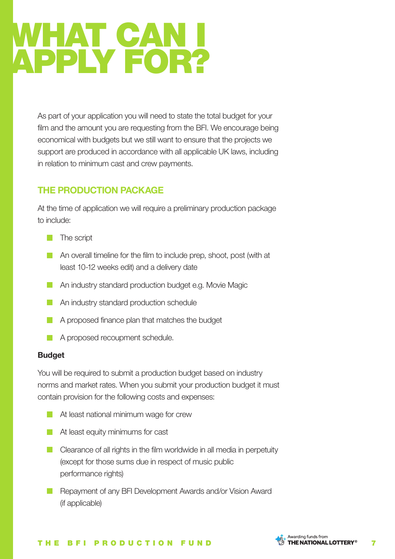## WHAT CAN I APPLY FOR?

As part of your application you will need to state the total budget for your film and the amount you are requesting from the BFI. We encourage being economical with budgets but we still want to ensure that the projects we support are produced in accordance with all applicable UK laws, including in relation to minimum cast and crew payments.

### **THE PRODUCTION PACKAGE**

At the time of application we will require a preliminary production package to include:

- $\blacksquare$  The script
- **An overall timeline for the film to include prep, shoot, post (with at** least 10-12 weeks edit) and a delivery date
- **An industry standard production budget e.g. Movie Magic**
- **An industry standard production schedule**
- A proposed finance plan that matches the budget
- A proposed recoupment schedule.

### **Budget**

You will be required to submit a production budget based on industry norms and market rates. When you submit your production budget it must contain provision for the following costs and expenses:

- **At least national minimum wage for crew**
- **At least equity minimums for cast**
- **Clearance of all rights in the film worldwide in all media in perpetuity** (except for those sums due in respect of music public performance rights)
- Repayment of any BFI Development Awards and/or Vision Award (if applicable)



#### THE BFI PRODUCTION FUND  $\sqrt{9}$  THE MATIONALLOTTERY<sup>®</sup> 7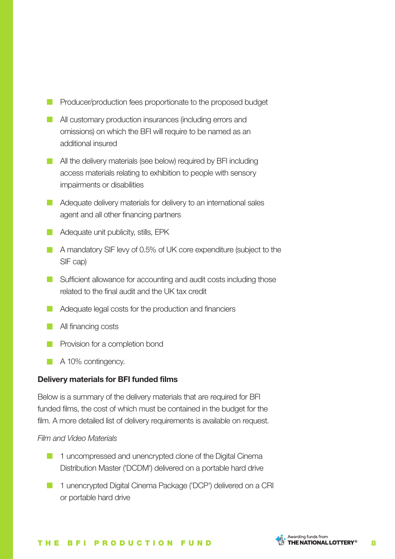- Producer/production fees proportionate to the proposed budget
- **All customary production insurances (including errors and** omissions) on which the BFI will require to be named as an additional insured
- **All the delivery materials (see below) required by BFI including** access materials relating to exhibition to people with sensory impairments or disabilities
- Adequate delivery materials for delivery to an international sales agent and all other financing partners
- **Adequate unit publicity, stills, EPK**
- A mandatory SIF levy of 0.5% of UK core expenditure (subject to the SIF cap)
- Sufficient allowance for accounting and audit costs including those related to the final audit and the UK tax credit
- **Adequate legal costs for the production and financiers**
- **All financing costs**
- **Provision for a completion bond**
- A 10% contingency.

### **Delivery materials for BFI funded films**

Below is a summary of the delivery materials that are required for BFI funded films, the cost of which must be contained in the budget for the film. A more detailed list of delivery requirements is available on request.

#### *Film and Video Materials*

- **1** 1 uncompressed and unencrypted clone of the Digital Cinema Distribution Master ('DCDM') delivered on a portable hard drive
- **1** unencrypted Digital Cinema Package ('DCP') delivered on a CRI or portable hard drive



#### THE BFI PRODUCTION FUND STHENATIONALLOTTERY<sup>®</sup> 8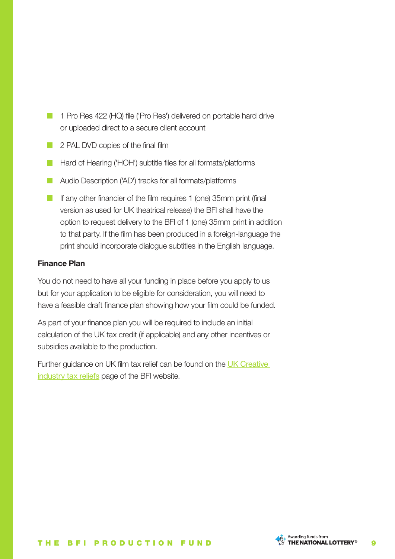- 1 Pro Res 422 (HQ) file ('Pro Res') delivered on portable hard drive or uploaded direct to a secure client account
- **2 PAL DVD copies of the final film**
- **Hard of Hearing ('HOH') subtitle files for all formats/platforms**
- **Audio Description ('AD') tracks for all formats/platforms**
- If any other financier of the film requires 1 (one) 35mm print (final version as used for UK theatrical release) the BFI shall have the option to request delivery to the BFI of 1 (one) 35mm print in addition to that party. If the film has been produced in a foreign-language the print should incorporate dialogue subtitles in the English language.

### **Finance Plan**

You do not need to have all your funding in place before you apply to us but for your application to be eligible for consideration, you will need to have a feasible draft finance plan showing how your film could be funded.

As part of your finance plan you will be required to include an initial calculation of the UK tax credit (if applicable) and any other incentives or subsidies available to the production.

Further guidance on UK film tax relief can be found on the UK Creative industry tax reliefs page of the BFI website.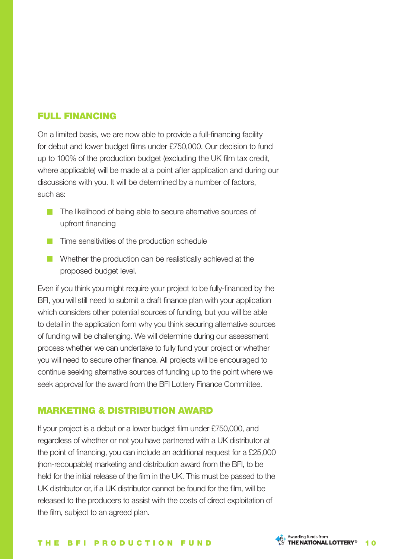### FULL FINANCING

On a limited basis, we are now able to provide a full-financing facility for debut and lower budget films under £750,000. Our decision to fund up to 100% of the production budget (excluding the UK film tax credit, where applicable) will be made at a point after application and during our discussions with you. It will be determined by a number of factors, such as:

- The likelihood of being able to secure alternative sources of upfront financing
- **Time sensitivities of the production schedule**
- Whether the production can be realistically achieved at the proposed budget level.

Even if you think you might require your project to be fully-financed by the BFI, you will still need to submit a draft finance plan with your application which considers other potential sources of funding, but you will be able to detail in the application form why you think securing alternative sources of funding will be challenging. We will determine during our assessment process whether we can undertake to fully fund your project or whether you will need to secure other finance. All projects will be encouraged to continue seeking alternative sources of funding up to the point where we seek approval for the award from the BFI Lottery Finance Committee.

### MARKETING & DISTRIBUTION AWARD

If your project is a debut or a lower budget film under £750,000, and regardless of whether or not you have partnered with a UK distributor at the point of financing, you can include an additional request for a £25,000 (non-recoupable) marketing and distribution award from the BFI, to be held for the initial release of the film in the UK. This must be passed to the UK distributor or, if a UK distributor cannot be found for the film, will be released to the producers to assist with the costs of direct exploitation of the film, subject to an agreed plan.



#### THE BFI PRODUCTION FUND STHENATIONALLOTTERY<sup>®</sup> 10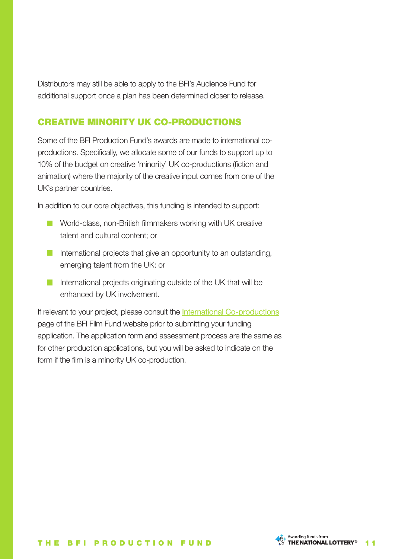Distributors may still be able to apply to the BFI's Audience Fund for additional support once a plan has been determined closer to release.

### CREATIVE MINORITY UK CO-PRODUCTIONS

Some of the BFI Production Fund's awards are made to international coproductions. Specifically, we allocate some of our funds to support up to 10% of the budget on creative 'minority' UK co-productions (fiction and animation) where the majority of the creative input comes from one of the UK's partner countries.

In addition to our core objectives, this funding is intended to support:

- **North-Class, non-British filmmakers working with UK creative** talent and cultural content; or
- International projects that give an opportunity to an outstanding, emerging talent from the UK; or
- International projects originating outside of the UK that will be enhanced by UK involvement.

If relevant to your project, please consult the International Co-productions page of the BFI Film Fund website prior to submitting your funding application. The application form and assessment process are the same as for other production applications, but you will be asked to indicate on the form if the film is a minority UK co-production.

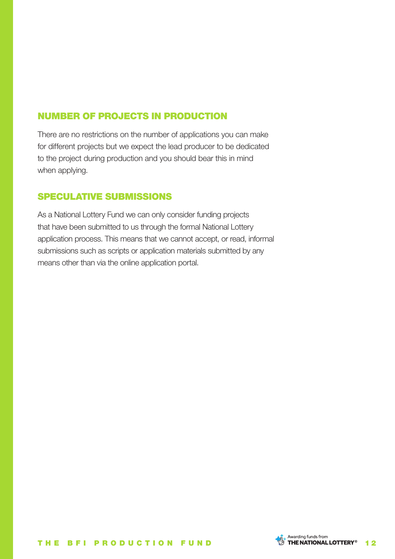### NUMBER OF PROJECTS IN PRODUCTION

There are no restrictions on the number of applications you can make for different projects but we expect the lead producer to be dedicated to the project during production and you should bear this in mind when applying.

### SPECULATIVE SUBMISSIONS

As a National Lottery Fund we can only consider funding projects that have been submitted to us through the formal National Lottery application process. This means that we cannot accept, or read, informal submissions such as scripts or application materials submitted by any means other than via the online application portal.

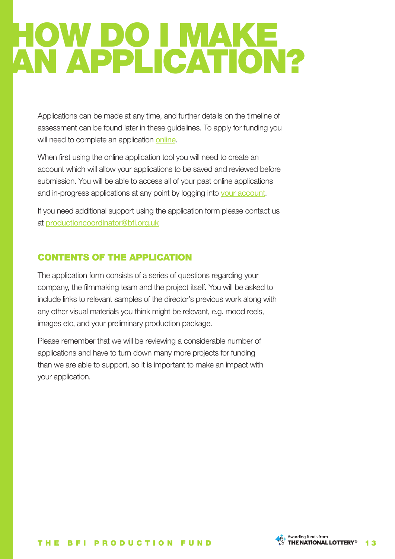## HOW DO I MAKE AN APPLICATION?

Applications can be made at any time, and further details on the timeline of assessment can be found later in these guidelines. To apply for funding you will need to complete an application online.

When first using the online application tool you will need to create an account which will allow your applications to be saved and reviewed before submission. You will be able to access all of your past online applications and in-progress applications at any point by logging into your account.

If you need additional support using the application form please contact us at productioncoordinator@bfi.org.uk

### CONTENTS OF THE APPLICATION

The application form consists of a series of questions regarding your company, the filmmaking team and the project itself. You will be asked to include links to relevant samples of the director's previous work along with any other visual materials you think might be relevant, e.g. mood reels, images etc, and your preliminary production package.

Please remember that we will be reviewing a considerable number of applications and have to turn down many more projects for funding than we are able to support, so it is important to make an impact with your application.

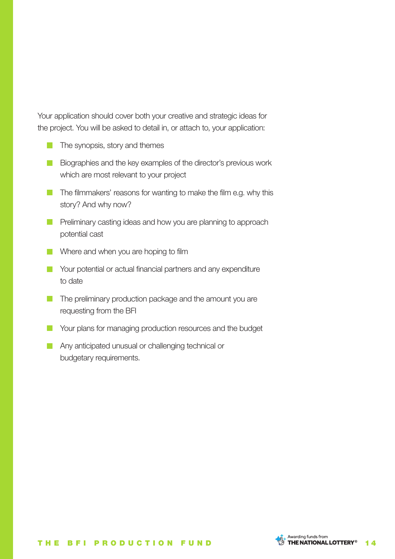Your application should cover both your creative and strategic ideas for the project. You will be asked to detail in, or attach to, your application:

- **The synopsis, story and themes**
- Biographies and the key examples of the director's previous work which are most relevant to your project
- The filmmakers' reasons for wanting to make the film e.g. why this story? And why now?
- **Preliminary casting ideas and how you are planning to approach** potential cast
- Where and when you are hoping to film
- **Nour potential or actual financial partners and any expenditure** to date
- The preliminary production package and the amount you are requesting from the BFI
- **Nour plans for managing production resources and the budget**
- **Any anticipated unusual or challenging technical or** budgetary requirements.

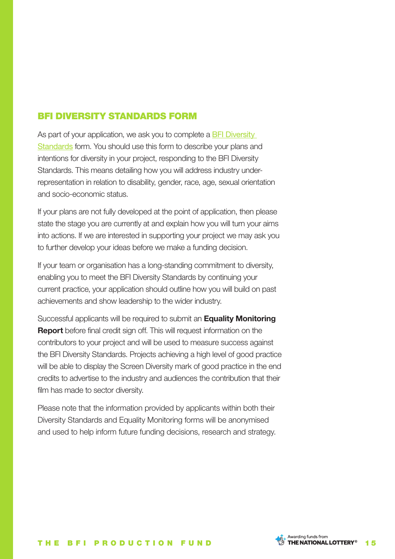### BFI DIVERSITY STANDARDS FORM

As part of your application, we ask you to complete a BFI Diversity Standards form. You should use this form to describe your plans and intentions for diversity in your project, responding to the BFI Diversity Standards. This means detailing how you will address industry underrepresentation in relation to disability, gender, race, age, sexual orientation and socio-economic status.

If your plans are not fully developed at the point of application, then please state the stage you are currently at and explain how you will turn your aims into actions. If we are interested in supporting your project we may ask you to further develop your ideas before we make a funding decision.

If your team or organisation has a long-standing commitment to diversity, enabling you to meet the BFI Diversity Standards by continuing your current practice, your application should outline how you will build on past achievements and show leadership to the wider industry.

Successful applicants will be required to submit an **Equality Monitoring Report** before final credit sign off. This will request information on the contributors to your project and will be used to measure success against the BFI Diversity Standards. Projects achieving a high level of good practice will be able to display the Screen Diversity mark of good practice in the end credits to advertise to the industry and audiences the contribution that their film has made to sector diversity.

Please note that the information provided by applicants within both their Diversity Standards and Equality Monitoring forms will be anonymised and used to help inform future funding decisions, research and strategy.

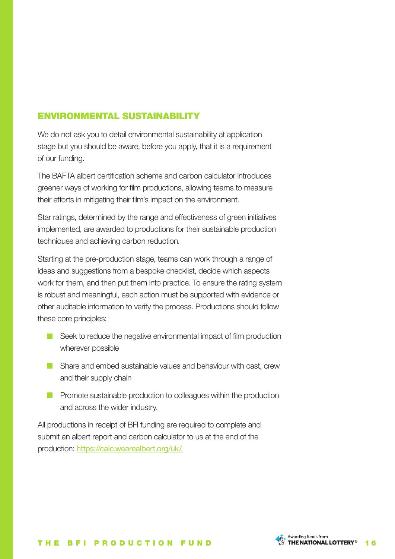### ENVIRONMENTAL SUSTAINABILITY

We do not ask you to detail environmental sustainability at application stage but you should be aware, before you apply, that it is a requirement of our funding.

The BAFTA albert certification scheme and carbon calculator introduces greener ways of working for film productions, allowing teams to measure their efforts in mitigating their film's impact on the environment.

Star ratings, determined by the range and effectiveness of green initiatives implemented, are awarded to productions for their sustainable production techniques and achieving carbon reduction.

Starting at the pre-production stage, teams can work through a range of ideas and suggestions from a bespoke checklist, decide which aspects work for them, and then put them into practice. To ensure the rating system is robust and meaningful, each action must be supported with evidence or other auditable information to verify the process. Productions should follow these core principles:

- Seek to reduce the negative environmental impact of film production wherever possible
- Share and embed sustainable values and behaviour with cast, crew and their supply chain
- **Promote sustainable production to colleagues within the production** and across the wider industry.

All productions in receipt of BFI funding are required to complete and submit an albert report and carbon calculator to us at the end of the production: https://calc.wearealbert.org/uk/.

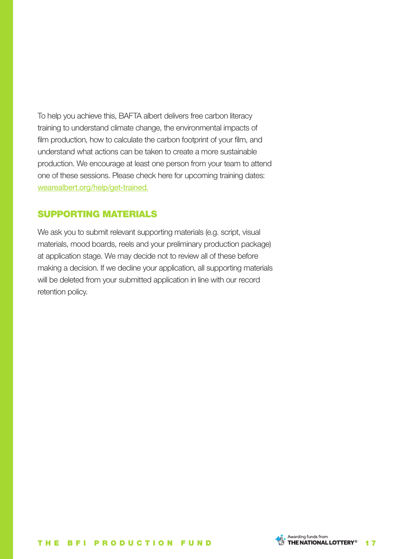To help you achieve this, BAFTA albert delivers free carbon literacy training to understand climate change, the environmental impacts of film production, how to calculate the carbon footprint of your film, and understand what actions can be taken to create a more sustainable production. We encourage at least one person from your team to attend one of these sessions. Please check here for upcoming training dates: wearealbert.org/help/get-trained.

### SUPPORTING MATERIALS

We ask you to submit relevant supporting materials (e.g. script, visual materials, mood boards, reels and your preliminary production package) at application stage. We may decide not to review all of these before making a decision. If we decline your application, all supporting materials will be deleted from your submitted application in line with our record retention policy.

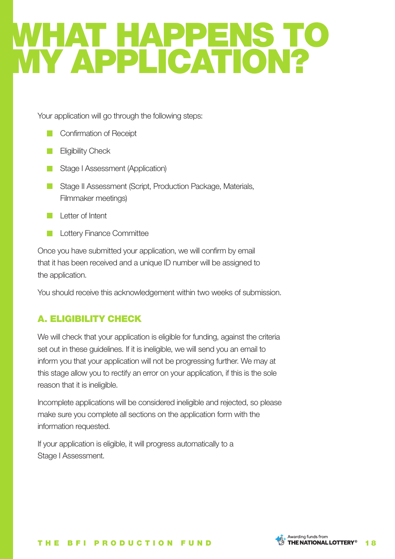## WHAT HAPPENS TO MY APPLICATION?

Your application will go through the following steps:

- **Confirmation of Receipt**
- Eligibility Check  $\mathcal{L}^{\text{max}}$
- **Stage I Assessment (Application)**
- **Stage II Assessment (Script, Production Package, Materials,** Filmmaker meetings)
- **Letter of Intent**
- Lottery Finance Committee

Once you have submitted your application, we will confirm by email that it has been received and a unique ID number will be assigned to the application.

You should receive this acknowledgement within two weeks of submission.

### A. ELIGIBILITY CHECK

We will check that your application is eligible for funding, against the criteria set out in these guidelines. If it is ineligible, we will send you an email to inform you that your application will not be progressing further. We may at this stage allow you to rectify an error on your application, if this is the sole reason that it is ineligible.

Incomplete applications will be considered ineligible and rejected, so please make sure you complete all sections on the application form with the information requested.

If your application is eligible, it will progress automatically to a Stage I Assessment.

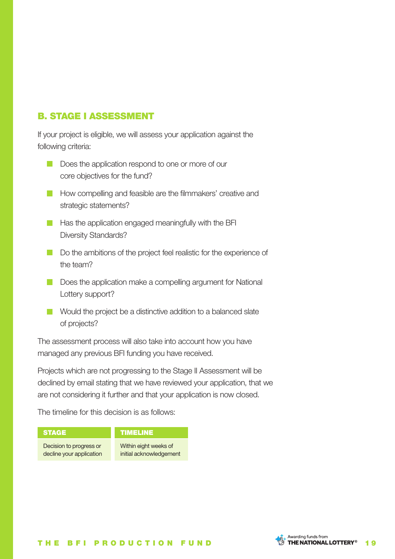### B. STAGE I ASSESSMENT

If your project is eligible, we will assess your application against the following criteria:

- Does the application respond to one or more of our core objectives for the fund?
- **How compelling and feasible are the filmmakers' creative and** strategic statements?
- $\blacksquare$  Has the application engaged meaningfully with the BFI Diversity Standards?
- Do the ambitions of the project feel realistic for the experience of the team?
- Does the application make a compelling argument for National Lottery support?
- Would the project be a distinctive addition to a balanced slate of projects?

The assessment process will also take into account how you have managed any previous BFI funding you have received.

Projects which are not progressing to the Stage II Assessment will be declined by email stating that we have reviewed your application, that we are not considering it further and that your application is now closed.

The timeline for this decision is as follows:



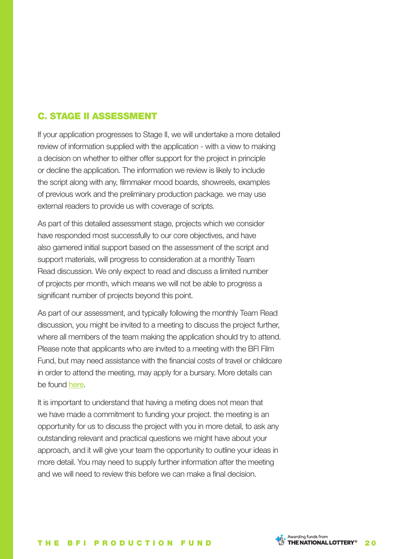### C. STAGE II ASSESSMENT

If your application progresses to Stage II, we will undertake a more detailed review of information supplied with the application - with a view to making a decision on whether to either offer support for the project in principle or decline the application. The information we review is likely to include the script along with any, filmmaker mood boards, showreels, examples of previous work and the preliminary production package. we may use external readers to provide us with coverage of scripts.

As part of this detailed assessment stage, projects which we consider have responded most successfully to our core objectives, and have also garnered initial support based on the assessment of the script and support materials, will progress to consideration at a monthly Team Read discussion. We only expect to read and discuss a limited number of projects per month, which means we will not be able to progress a significant number of projects beyond this point.

As part of our assessment, and typically following the monthly Team Read discussion, you might be invited to a meeting to discuss the project further, where all members of the team making the application should try to attend. Please note that applicants who are invited to a meeting with the BFI Film Fund, but may need assistance with the financial costs of travel or childcare in order to attend the meeting, may apply for a bursary. More details can be found here.

It is important to understand that having a meting does not mean that we have made a commitment to funding your project. the meeting is an opportunity for us to discuss the project with you in more detail, to ask any outstanding relevant and practical questions we might have about your approach, and it will give your team the opportunity to outline your ideas in more detail. You may need to supply further information after the meeting and we will need to review this before we can make a final decision.

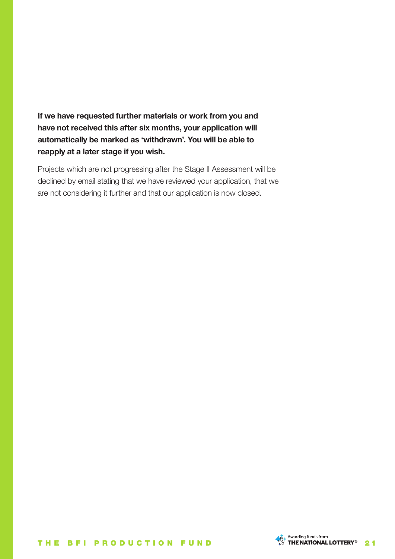**If we have requested further materials or work from you and have not received this after six months, your application will automatically be marked as 'withdrawn'. You will be able to reapply at a later stage if you wish.**

Projects which are not progressing after the Stage II Assessment will be declined by email stating that we have reviewed your application, that we are not considering it further and that our application is now closed.

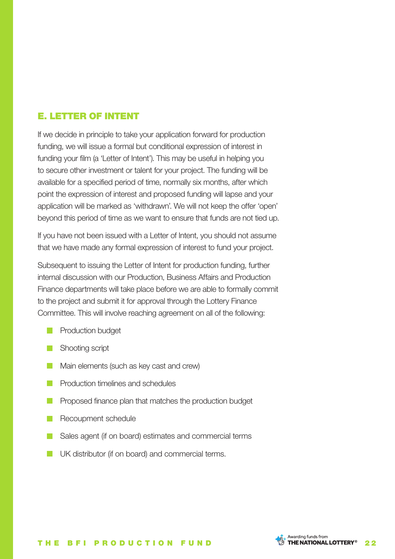### E. LETTER OF INTENT

If we decide in principle to take your application forward for production funding, we will issue a formal but conditional expression of interest in funding your film (a 'Letter of Intent'). This may be useful in helping you to secure other investment or talent for your project. The funding will be available for a specified period of time, normally six months, after which point the expression of interest and proposed funding will lapse and your application will be marked as 'withdrawn'. We will not keep the offer 'open' beyond this period of time as we want to ensure that funds are not tied up.

If you have not been issued with a Letter of Intent, you should not assume that we have made any formal expression of interest to fund your project.

Subsequent to issuing the Letter of Intent for production funding, further internal discussion with our Production, Business Affairs and Production Finance departments will take place before we are able to formally commit to the project and submit it for approval through the Lottery Finance Committee. This will involve reaching agreement on all of the following:

- **Production budget**
- Shooting script
- **Main elements (such as key cast and crew)**
- **Production timelines and schedules**
- **Proposed finance plan that matches the production budget**
- Recoupment schedule
- Sales agent (if on board) estimates and commercial terms
- UK distributor (if on board) and commercial terms. $\mathcal{L}^{\text{max}}$

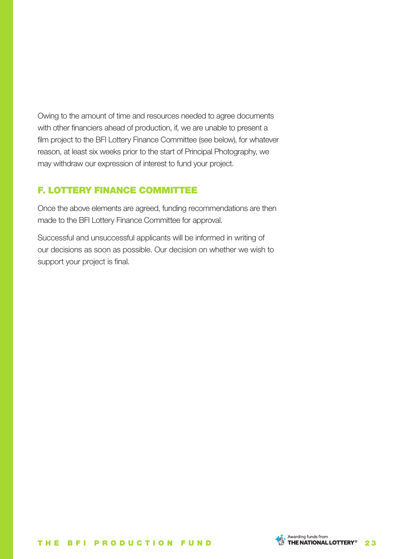Owing to the amount of time and resources needed to agree documents with other financiers ahead of production, if, we are unable to present a film project to the BFI Lottery Finance Committee (see below), for whatever reason, at least six weeks prior to the start of Principal Photography, we may withdraw our expression of interest to fund your project.

### F. LOTTERY FINANCE COMMITTEE

Once the above elements are agreed, funding recommendations are then made to the BFI Lottery Finance Committee for approval.

Successful and unsuccessful applicants will be informed in writing of our decisions as soon as possible. Our decision on whether we wish to support your project is final.

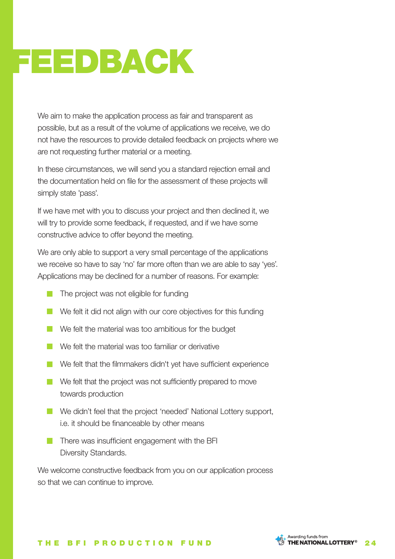## FEEDBACK

We aim to make the application process as fair and transparent as possible, but as a result of the volume of applications we receive, we do not have the resources to provide detailed feedback on projects where we are not requesting further material or a meeting.

In these circumstances, we will send you a standard rejection email and the documentation held on file for the assessment of these projects will simply state 'pass'.

If we have met with you to discuss your project and then declined it, we will try to provide some feedback, if requested, and if we have some constructive advice to offer beyond the meeting.

We are only able to support a very small percentage of the applications we receive so have to say 'no' far more often than we are able to say 'yes'. Applications may be declined for a number of reasons. For example:

- $\blacksquare$  The project was not eligible for funding
- We felt it did not align with our core objectives for this funding
- We felt the material was too ambitious for the budget
- **No** We felt the material was too familiar or derivative
- We felt that the filmmakers didn't yet have sufficient experience
- We felt that the project was not sufficiently prepared to move towards production
- We didn't feel that the project 'needed' National Lottery support, i.e. it should be financeable by other means
- $\blacksquare$  There was insufficient engagement with the BFI Diversity Standards.

We welcome constructive feedback from you on our application process so that we can continue to improve.

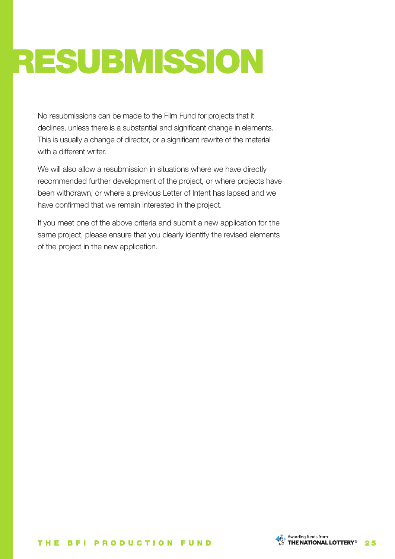# RESUBMISSION

No resubmissions can be made to the Film Fund for projects that it declines, unless there is a substantial and significant change in elements. This is usually a change of director, or a significant rewrite of the material with a different writer.

We will also allow a resubmission in situations where we have directly recommended further development of the project, or where projects have been withdrawn, or where a previous Letter of Intent has lapsed and we have confirmed that we remain interested in the project.

If you meet one of the above criteria and submit a new application for the same project, please ensure that you clearly identify the revised elements of the project in the new application.

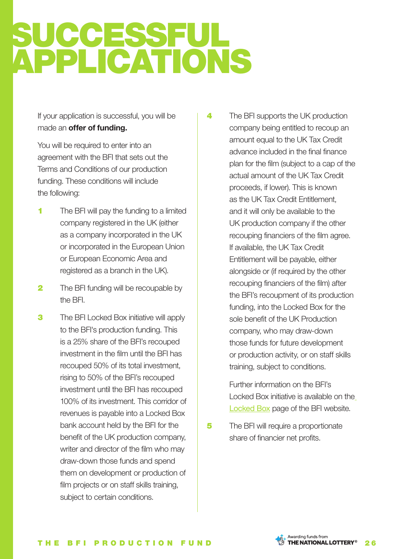## SUCCESSFUL APPLICATIONS

If your application is successful, you will be made an **offer of funding.**

You will be required to enter into an agreement with the BFI that sets out the Terms and Conditions of our production funding. These conditions will include the following:

- **1** The BFI will pay the funding to a limited company registered in the UK (either as a company incorporated in the UK or incorporated in the European Union or European Economic Area and registered as a branch in the UK).
- 2 The BFI funding will be recoupable by the BFI.
- **3** The BFI Locked Box initiative will apply to the BFI's production funding. This is a 25% share of the BFI's recouped investment in the film until the BFI has recouped 50% of its total investment, rising to 50% of the BFI's recouped investment until the BFI has recouped 100% of its investment. This corridor of revenues is payable into a Locked Box bank account held by the BFI for the benefit of the UK production company, writer and director of the film who may draw-down those funds and spend them on development or production of film projects or on staff skills training, subject to certain conditions.

**4** The BFI supports the UK production company being entitled to recoup an amount equal to the UK Tax Credit advance included in the final finance plan for the film (subject to a cap of the actual amount of the UK Tax Credit proceeds, if lower). This is known as the UK Tax Credit Entitlement, and it will only be available to the UK production company if the other recouping financiers of the film agree. If available, the UK Tax Credit Entitlement will be payable, either alongside or (if required by the other recouping financiers of the film) after the BFI's recoupment of its production funding, into the Locked Box for the sole benefit of the UK Production company, who may draw-down those funds for future development or production activity, or on staff skills training, subject to conditions.

> Further information on the BFI's Locked Box initiative is available on the Locked Box page of the BFI website.

5 The BFI will require a proportionate share of financier net profits.

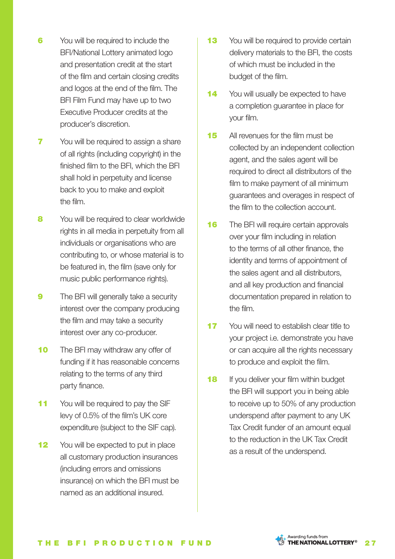- 6 You will be required to include the BFI/National Lottery animated logo and presentation credit at the start of the film and certain closing credits and logos at the end of the film. The BFI Film Fund may have up to two Executive Producer credits at the producer's discretion.
- **7** You will be required to assign a share of all rights (including copyright) in the finished film to the BFI, which the BFI shall hold in perpetuity and license back to you to make and exploit the film.
- 8 You will be required to clear worldwide rights in all media in perpetuity from all individuals or organisations who are contributing to, or whose material is to be featured in, the film (save only for music public performance rights).
- **9** The BFI will generally take a security interest over the company producing the film and may take a security interest over any co-producer.
- **10** The BFI may withdraw any offer of funding if it has reasonable concerns relating to the terms of any third party finance.
- 11 You will be required to pay the SIF levy of 0.5% of the film's UK core expenditure (subject to the SIF cap).
- 12 You will be expected to put in place all customary production insurances (including errors and omissions insurance) on which the BFI must be named as an additional insured.
- 13 You will be required to provide certain delivery materials to the BFI, the costs of which must be included in the budget of the film.
- 14 You will usually be expected to have a completion guarantee in place for your film.
- 15 All revenues for the film must be collected by an independent collection agent, and the sales agent will be required to direct all distributors of the film to make payment of all minimum guarantees and overages in respect of the film to the collection account.
- **16** The BFI will require certain approvals over your film including in relation to the terms of all other finance, the identity and terms of appointment of the sales agent and all distributors, and all key production and financial documentation prepared in relation to the film.
- 17 You will need to establish clear title to your project i.e. demonstrate you have or can acquire all the rights necessary to produce and exploit the film.
- **18** If you deliver your film within budget the BFI will support you in being able to receive up to 50% of any production underspend after payment to any UK Tax Credit funder of an amount equal to the reduction in the UK Tax Credit as a result of the underspend.



Awarding funds from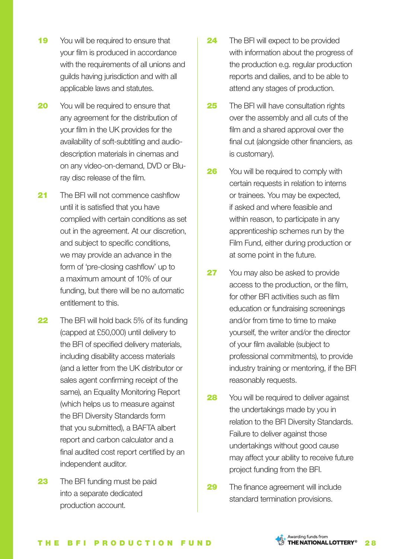- 19 You will be required to ensure that your film is produced in accordance with the requirements of all unions and guilds having jurisdiction and with all applicable laws and statutes.
- **20** You will be required to ensure that any agreement for the distribution of your film in the UK provides for the availability of soft-subtitling and audiodescription materials in cinemas and on any video-on-demand, DVD or Bluray disc release of the film.
- 21 The BFI will not commence cashflow until it is satisfied that you have complied with certain conditions as set out in the agreement. At our discretion, and subject to specific conditions, we may provide an advance in the form of 'pre-closing cashflow' up to a maximum amount of 10% of our funding, but there will be no automatic entitlement to this.
- 22 The BFI will hold back 5% of its funding (capped at £50,000) until delivery to the BFI of specified delivery materials, including disability access materials (and a letter from the UK distributor or sales agent confirming receipt of the same), an Equality Monitoring Report (which helps us to measure against the BFI Diversity Standards form that you submitted), a BAFTA albert report and carbon calculator and a final audited cost report certified by an independent auditor.
- **23** The BFI funding must be paid into a separate dedicated production account.
- 24 The BFI will expect to be provided with information about the progress of the production e.g. regular production reports and dailies, and to be able to attend any stages of production.
- **25** The BFI will have consultation rights over the assembly and all cuts of the film and a shared approval over the final cut (alongside other financiers, as is customary).
- **26** You will be required to comply with certain requests in relation to interns or trainees. You may be expected, if asked and where feasible and within reason, to participate in any apprenticeship schemes run by the Film Fund, either during production or at some point in the future.
- 27 You may also be asked to provide access to the production, or the film, for other BFI activities such as film education or fundraising screenings and/or from time to time to make yourself, the writer and/or the director of your film available (subject to professional commitments), to provide industry training or mentoring, if the BFI reasonably requests.
- **28** You will be required to deliver against the undertakings made by you in relation to the BFI Diversity Standards. Failure to deliver against those undertakings without good cause may affect your ability to receive future project funding from the BFI.
- **29** The finance agreement will include standard termination provisions.

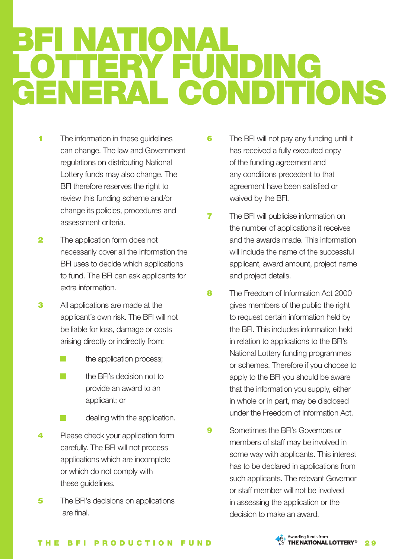### I NATIONA LOTTERY FUNDING GENERAL CONDITIONS

- 1 The information in these guidelines can change. The law and Government regulations on distributing National Lottery funds may also change. The BFI therefore reserves the right to review this funding scheme and/or change its policies, procedures and assessment criteria.
- **2** The application form does not necessarily cover all the information the BFI uses to decide which applications to fund. The BFI can ask applicants for extra information.
- **3** All applications are made at the applicant's own risk. The BFI will not be liable for loss, damage or costs arising directly or indirectly from:
	- $\blacksquare$  the application process;
	- the BFI's decision not to provide an award to an applicant; or
	- **dealing with the application.**
- **4** Please check your application form carefully. The BFI will not process applications which are incomplete or which do not comply with these guidelines.
- **5** The BFI's decisions on applications are final.
- 6 The BFI will not pay any funding until it has received a fully executed copy of the funding agreement and any conditions precedent to that agreement have been satisfied or waived by the BFI.
- **7** The BFI will publicise information on the number of applications it receives and the awards made. This information will include the name of the successful applicant, award amount, project name and project details.
- 8 The Freedom of Information Act 2000 gives members of the public the right to request certain information held by the BFI. This includes information held in relation to applications to the BFI's National Lottery funding programmes or schemes. Therefore if you choose to apply to the BFI you should be aware that the information you supply, either in whole or in part, may be disclosed under the Freedom of Information Act.
- **9** Sometimes the RFI's Governors or members of staff may be involved in some way with applicants. This interest has to be declared in applications from such applicants. The relevant Governor or staff member will not be involved in assessing the application or the decision to make an award.